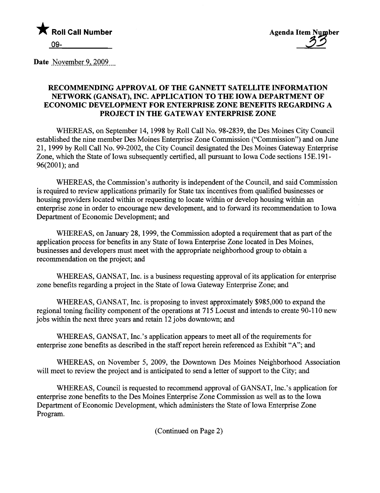

Date November 9, 2009

## RECOMMENDING APPROVAL OF THE GANNETT SATELLITE INFORMTION NETWORK (GANSAT), INC. APPLICATION TO THE IOWA DEPARTMENT OF ECONOMIC DEVELOPMENT FOR ENTERPRISE ZONE BENEFITS REGARDING A PROJECT IN THE GATEWAY ENTERPRISE ZONE

WHEREAS, on September 14, 1998 by Roll Call No. 98-2839, the Des Moines City Council established the nine member Des Moines Enterprise Zone Commission ("Commission") and on June 21, 1999 by Roll Call No. 99-2002, the City Council designated the Des Moines Gateway Enterprise Zone, which the State of Iowa subsequently certified, all pursuant to Iowa Code sections 15E.191- 96(2001); and

WHEREAS, the Commission's authority is independent of the Council, and said Commission is required to review applications primarly for State tax incentives from qualified businesses or housing providers located within or requesting to locate within or develop housing within an enterprise zone in order to encourage new development, and to forward its recommendation to Iowa Deparment of Economic Development; and

WHEREAS, on January 28, 1999, the Commission adopted a requirement that as part of the application process for benefits in any State of Iowa Enterprise Zone located in Des Moines, businesses and developers must meet with the appropriate neighborhood group to obtan a recommendation on the project; and

WHEREAS, GANSAT, Inc. is a business requesting approval of its application for enterprise zone benefits regarding a project in the State of Iowa Gateway Enterprise Zone; and

WHEREAS, GANSAT, Inc. is proposing to invest approximately \$985,000 to expand the regional toning facility component of the operations at 715 Locust and intends to create 90-110 new jobs within the next three years and retain 12 jobs downtown; and

WHEREAS, GANSAT, Inc.'s application appears to meet all of the requirements for enterprise zone benefits as described in the staff report herein referenced as Exhibit "A"; and

WHEREAS, on November 5, 2009, the Downtown Des Moines Neighborhood Association will meet to review the project and is anticipated to send a letter of support to the City; and

WHEREAS, Council is requested to recommend approval of GANSAT, Inc.'s application for enterprise zone benefits to the Des Moines Enterprise Zone Commission as well as to the Iowa Deparment of Economic Development, which administers the State of Iowa Enterprise Zone Program.

(Continued on Page 2)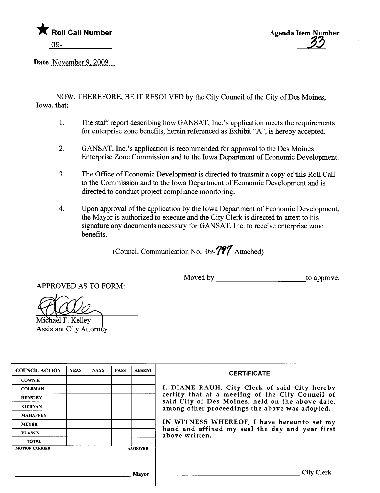



Date November 9, 2009

NOW, THEREFORE, BE IT RESOLVED by the City Council of the City of Des Moines, Iowa, that:

- 1. The staff report describing how GANSAT, Inc.'s application meets the requirements for enterprise zone benefits, herein referenced as Exhibit "A", is hereby accepted.
- 2. GANSAT, Inc.'s application is recommended for approval to the Des Moines Enterprise Zone Commission and to the Iowa Deparment of Economic Development.
- 3. The Office of Economic Development is directed to transmit a copy of ths Roll Call to the Commission and to the Iowa Deparment of Economic Development and is directed to conduct project compliance monitoring.
- 4. Upon approval of the application by the Iowa Department of Economic Development, the Mayor is authorized to execute and the City Clerk is directed to attest to his signature any documents necessary for GANSAT, Inc. to receive enterprise zone benefits.

(Council Communication No.  $09 - 797$  Attached)

APPROVED AS TO FORM:

Moved by to approve.

Michael F. Kelley **Assistant City Attorney** 

| <b>YEAS</b> | <b>NAYS</b>     | <b>PASS</b> | <b>ABSENT</b> |
|-------------|-----------------|-------------|---------------|
|             |                 |             |               |
|             |                 |             |               |
|             |                 |             |               |
|             |                 |             |               |
|             |                 |             |               |
|             |                 |             |               |
|             |                 |             |               |
|             |                 |             |               |
|             | <b>APPROVED</b> |             |               |
|             |                 |             |               |

#### **CERTIFICATE**

I, DIANE RAUH, City Clerk of said City hereby HENSLEY COLLEGER COLLEGER COUNCIL COLLEGER COUNCIL OF CERTIFY THAT AT A meeting of the City Council of said City of Des Moines, held on the above date, among other proceedings the above was adopted.

> IN WITNESS WHEREOF, I have hereunto set my hand and affixed my seal the day and year first above written.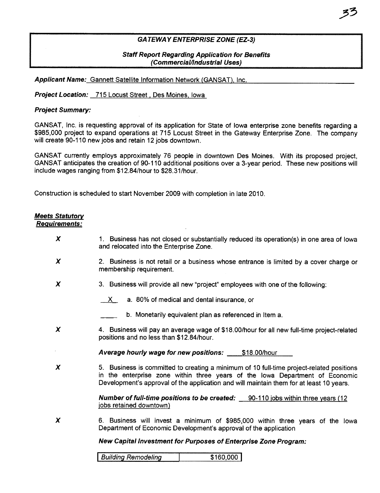## GA TEWA Y ENTERPRISE ZONE (EZ-3)

## Staff Report Regarding Application for Benefits (Commercial/Industrial Uses)

Applicant Name: Gannett Satellite Information Network (GANSAT), Inc.

Project Location: 715 Locust Street, Des Moines, Iowa

## Project Summary:

GANSAT, Inc. is requesting approval of its application for State of Iowa enterprise zone benefits regarding a \$985,000 project to expand operations at 715 Locust Street in the Gateway Enterprise Zone. The company will create 90-110 new jobs and retain 12 jobs downtown.

GANSAT currently employs approximately 76 people in downtown Des Moines. With its proposed project, GANSAT anticipates the creation of 90-110 additional positions over a 3-year period. These new positions wil include wages ranging from \$12.84/hour to \$28.31/hour.

Construction is scheduled to start November 2009 with completion in late 2010.

| <b>Meets Statutory</b><br><b>Requirements:</b> |                                                                                                                                                                                                                                                                     |
|------------------------------------------------|---------------------------------------------------------------------------------------------------------------------------------------------------------------------------------------------------------------------------------------------------------------------|
| X                                              | 1. Business has not closed or substantially reduced its operation(s) in one area of lowa<br>and relocated into the Enterprise Zone.                                                                                                                                 |
| X                                              | 2. Business is not retail or a business whose entrance is limited by a cover charge or<br>membership requirement.                                                                                                                                                   |
| $\boldsymbol{\chi}$                            | 3. Business will provide all new "project" employees with one of the following:                                                                                                                                                                                     |
|                                                | a. 80% of medical and dental insurance, or<br>X.                                                                                                                                                                                                                    |
|                                                | b. Monetarily equivalent plan as referenced in Item a.                                                                                                                                                                                                              |
| X                                              | 4. Business will pay an average wage of \$18.00/hour for all new full-time project-related<br>positions and no less than \$12.84/hour.                                                                                                                              |
|                                                | <b>Average hourly wage for new positions: \$18.00/hour</b>                                                                                                                                                                                                          |
| X                                              | 5. Business is committed to creating a minimum of 10 full-time project-related positions<br>in the enterprise zone within three years of the lowa Department of Economic<br>Development's approval of the application and will maintain them for at least 10 years. |
|                                                | <b>Number of full-time positions to be created:</b> 90-110 jobs within three years (12)<br>jobs retained downtown)                                                                                                                                                  |
| X                                              | 6. Business will invest a minimum of \$985,000 within three years of the lowa<br>Department of Economic Development's approval of the application                                                                                                                   |
|                                                | New Capital Investment for Purposes of Enterprise Zone Program:                                                                                                                                                                                                     |
|                                                | <b>Building Remodeling</b><br>\$160,000                                                                                                                                                                                                                             |
|                                                |                                                                                                                                                                                                                                                                     |